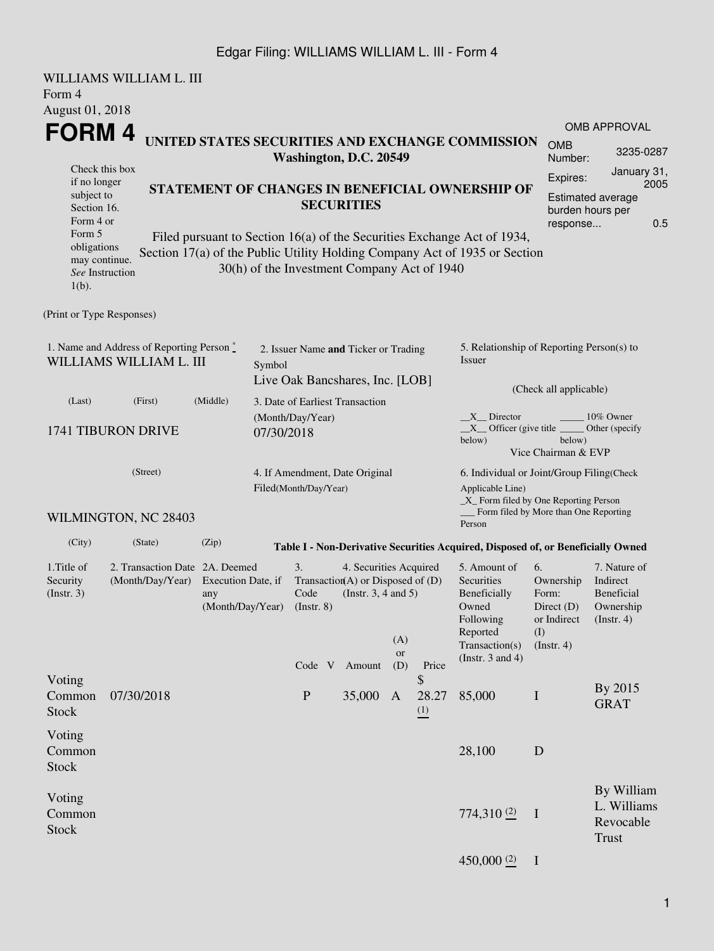## Edgar Filing: WILLIAMS WILLIAM L. III - Form 4

| Form 4<br>August 01, 2018                                                                                                       | WILLIAMS WILLIAM L. III                                                                             |                                                                                                                                                                           |                      |                                                                    |                                                                                                     |                                                 |                                                                                                                    |                                                                                                                         |                                                                               |                                                                                                                                                             |  |  |
|---------------------------------------------------------------------------------------------------------------------------------|-----------------------------------------------------------------------------------------------------|---------------------------------------------------------------------------------------------------------------------------------------------------------------------------|----------------------|--------------------------------------------------------------------|-----------------------------------------------------------------------------------------------------|-------------------------------------------------|--------------------------------------------------------------------------------------------------------------------|-------------------------------------------------------------------------------------------------------------------------|-------------------------------------------------------------------------------|-------------------------------------------------------------------------------------------------------------------------------------------------------------|--|--|
| <b>FORM4</b>                                                                                                                    | Check this box                                                                                      | UNITED STATES SECURITIES AND EXCHANGE COMMISSION                                                                                                                          |                      | Washington, D.C. 20549                                             | <b>OMB</b><br>Number:                                                                               | <b>OMB APPROVAL</b><br>3235-0287<br>January 31, |                                                                                                                    |                                                                                                                         |                                                                               |                                                                                                                                                             |  |  |
| if no longer<br>subject to<br>Section 16.<br>Form 4 or<br>Form 5<br>obligations<br>may continue.<br>See Instruction<br>$1(b)$ . | Section 17(a) of the Public Utility Holding Company Act of 1935 or Section                          | STATEMENT OF CHANGES IN BENEFICIAL OWNERSHIP OF<br>Filed pursuant to Section 16(a) of the Securities Exchange Act of 1934,<br>30(h) of the Investment Company Act of 1940 | Expires:<br>response | 2005<br><b>Estimated average</b><br>burden hours per<br>0.5        |                                                                                                     |                                                 |                                                                                                                    |                                                                                                                         |                                                                               |                                                                                                                                                             |  |  |
| (Print or Type Responses)                                                                                                       |                                                                                                     |                                                                                                                                                                           |                      |                                                                    |                                                                                                     |                                                 |                                                                                                                    |                                                                                                                         |                                                                               |                                                                                                                                                             |  |  |
| 1. Name and Address of Reporting Person $\degree$<br>WILLIAMS WILLIAM L. III<br>Symbol                                          |                                                                                                     |                                                                                                                                                                           |                      | 2. Issuer Name and Ticker or Trading                               |                                                                                                     |                                                 |                                                                                                                    | 5. Relationship of Reporting Person(s) to<br>Issuer                                                                     |                                                                               |                                                                                                                                                             |  |  |
| (Middle)<br>(Last)<br>(First)                                                                                                   |                                                                                                     |                                                                                                                                                                           |                      | Live Oak Bancshares, Inc. [LOB]<br>3. Date of Earliest Transaction |                                                                                                     |                                                 |                                                                                                                    | (Check all applicable)                                                                                                  |                                                                               |                                                                                                                                                             |  |  |
| 1741 TIBURON DRIVE                                                                                                              |                                                                                                     | 07/30/2018                                                                                                                                                                | (Month/Day/Year)     |                                                                    |                                                                                                     |                                                 | $X$ Director<br>10% Owner<br>$X$ Officer (give title<br>Other (specify)<br>below)<br>below)<br>Vice Chairman & EVP |                                                                                                                         |                                                                               |                                                                                                                                                             |  |  |
|                                                                                                                                 | (Street)                                                                                            |                                                                                                                                                                           |                      | 4. If Amendment, Date Original<br>Filed(Month/Day/Year)            |                                                                                                     |                                                 |                                                                                                                    | 6. Individual or Joint/Group Filing(Check<br>Applicable Line)<br>$\_X$ Form filed by One Reporting Person               | Form filed by More than One Reporting                                         |                                                                                                                                                             |  |  |
| (City)                                                                                                                          | WILMINGTON, NC 28403<br>(State)                                                                     | (Zip)                                                                                                                                                                     |                      |                                                                    |                                                                                                     |                                                 |                                                                                                                    | Person                                                                                                                  |                                                                               |                                                                                                                                                             |  |  |
| 1. Title of<br>Security<br>$($ Instr. 3 $)$                                                                                     | 2. Transaction Date 2A. Deemed<br>(Month/Day/Year)<br>Execution Date, if<br>any<br>(Month/Day/Year) |                                                                                                                                                                           |                      | 3.<br>Code<br>$($ Instr. 8 $)$<br>Code V                           | 4. Securities Acquired<br>Transaction(A) or Disposed of $(D)$<br>(Instr. $3, 4$ and $5$ )<br>Amount | (A)<br><b>or</b><br>(D)                         | Price                                                                                                              | 5. Amount of<br>Securities<br>Beneficially<br>Owned<br>Following<br>Reported<br>Transaction(s)<br>(Instr. $3$ and $4$ ) | 6.<br>Ownership<br>Form:<br>Direct $(D)$<br>or Indirect<br>(I)<br>(Insert. 4) | Table I - Non-Derivative Securities Acquired, Disposed of, or Beneficially Owned<br>7. Nature of<br>Indirect<br>Beneficial<br>Ownership<br>$($ Instr. 4 $)$ |  |  |
| Voting<br>Common<br><b>Stock</b>                                                                                                | 07/30/2018                                                                                          |                                                                                                                                                                           |                      | ${\bf P}$                                                          | 35,000                                                                                              | $\mathbf{A}$                                    | \$<br>28.27<br>(1)                                                                                                 | 85,000                                                                                                                  | $\bf I$                                                                       | By 2015<br><b>GRAT</b>                                                                                                                                      |  |  |
| Voting<br>Common<br><b>Stock</b>                                                                                                |                                                                                                     |                                                                                                                                                                           |                      |                                                                    |                                                                                                     |                                                 |                                                                                                                    | 28,100                                                                                                                  | $\mathbf D$                                                                   |                                                                                                                                                             |  |  |
| Voting<br>Common<br><b>Stock</b>                                                                                                |                                                                                                     |                                                                                                                                                                           |                      |                                                                    |                                                                                                     |                                                 |                                                                                                                    | 774,310(2)                                                                                                              | $\mathbf{I}$                                                                  | By William<br>L. Williams<br>Revocable<br><b>Trust</b>                                                                                                      |  |  |
|                                                                                                                                 |                                                                                                     |                                                                                                                                                                           |                      |                                                                    |                                                                                                     |                                                 |                                                                                                                    | 450,000 $(2)$                                                                                                           | $\mathbf I$                                                                   |                                                                                                                                                             |  |  |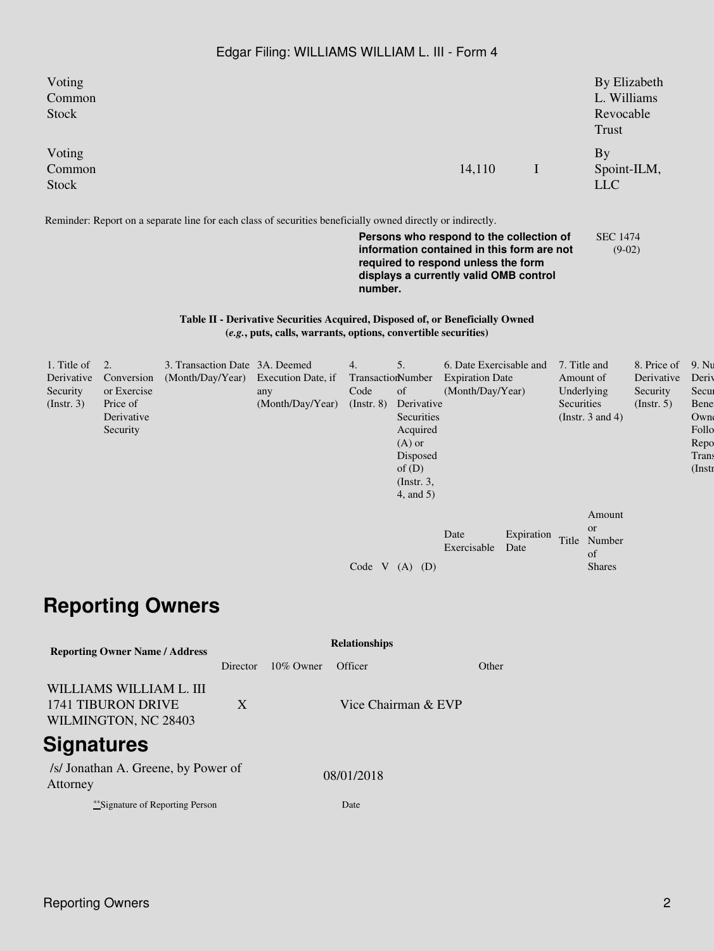## Edgar Filing: WILLIAMS WILLIAM L. III - Form 4

| Voting<br>Common<br><b>Stock</b>                                                     |                                                                                           |          |           |                                                                                                                                                 |                     |                 |                                                                                                                                              |                                                                                                                                                                         |                    |                         | By Elizabeth<br>L. Williams<br>Revocable<br>Trust          |                                                           |                                                                                   |  |
|--------------------------------------------------------------------------------------|-------------------------------------------------------------------------------------------|----------|-----------|-------------------------------------------------------------------------------------------------------------------------------------------------|---------------------|-----------------|----------------------------------------------------------------------------------------------------------------------------------------------|-------------------------------------------------------------------------------------------------------------------------------------------------------------------------|--------------------|-------------------------|------------------------------------------------------------|-----------------------------------------------------------|-----------------------------------------------------------------------------------|--|
| Voting<br>Common<br>Stock                                                            |                                                                                           |          |           |                                                                                                                                                 |                     |                 |                                                                                                                                              | 14,110                                                                                                                                                                  | $\mathbf I$        |                         | <b>By</b><br>Spoint-ILM,<br><b>LLC</b>                     |                                                           |                                                                                   |  |
|                                                                                      |                                                                                           |          |           | Reminder: Report on a separate line for each class of securities beneficially owned directly or indirectly.                                     |                     | number.         |                                                                                                                                              | Persons who respond to the collection of<br>information contained in this form are not<br>required to respond unless the form<br>displays a currently valid OMB control |                    |                         | <b>SEC 1474</b><br>$(9-02)$                                |                                                           |                                                                                   |  |
|                                                                                      |                                                                                           |          |           | Table II - Derivative Securities Acquired, Disposed of, or Beneficially Owned<br>(e.g., puts, calls, warrants, options, convertible securities) |                     |                 |                                                                                                                                              |                                                                                                                                                                         |                    |                         |                                                            |                                                           |                                                                                   |  |
| 1. Title of<br>Derivative<br>Security<br>$($ Instr. 3 $)$                            | 2.<br>Conversion<br>(Month/Day/Year)<br>or Exercise<br>Price of<br>Derivative<br>Security |          |           | 3. Transaction Date 3A. Deemed<br>Execution Date, if<br>any<br>(Month/Day/Year)                                                                 | 4.<br>Code          | $($ Instr. $8)$ | 5.<br>TransactionNumber<br>of<br>Derivative<br>Securities<br>Acquired<br>$(A)$ or<br>Disposed<br>of(D)<br>$($ Instr. $3,$<br>$4$ , and $5$ ) | 6. Date Exercisable and<br><b>Expiration Date</b><br>(Month/Day/Year)                                                                                                   |                    | Amount of<br>Securities | 7. Title and<br>Underlying<br>(Instr. $3$ and $4$ )        | 8. Price of<br>Derivative<br>Security<br>$($ Instr. 5 $)$ | 9. Nu<br>Deriv<br>Secur<br>Bene<br>Own<br>Follo<br>Repo<br><b>Trans</b><br>(Instr |  |
|                                                                                      |                                                                                           |          |           |                                                                                                                                                 |                     |                 | Code V $(A)$ $(D)$                                                                                                                           | Date<br>Exercisable                                                                                                                                                     | Expiration<br>Date |                         | Amount<br><b>or</b><br>Title Number<br>of<br><b>Shares</b> |                                                           |                                                                                   |  |
|                                                                                      | <b>Reporting Owners</b>                                                                   |          |           |                                                                                                                                                 |                     |                 |                                                                                                                                              |                                                                                                                                                                         |                    |                         |                                                            |                                                           |                                                                                   |  |
| <b>Reporting Owner Name / Address</b>                                                |                                                                                           |          |           |                                                                                                                                                 |                     |                 | <b>Relationships</b>                                                                                                                         |                                                                                                                                                                         |                    |                         |                                                            |                                                           |                                                                                   |  |
|                                                                                      |                                                                                           | Director | 10% Owner | Officer                                                                                                                                         |                     |                 | Other                                                                                                                                        |                                                                                                                                                                         |                    |                         |                                                            |                                                           |                                                                                   |  |
| WILLIAMS WILLIAM L. III<br>1741 TIBURON DRIVE<br>$\mathbf X$<br>WILMINGTON, NC 28403 |                                                                                           |          |           |                                                                                                                                                 | Vice Chairman & EVP |                 |                                                                                                                                              |                                                                                                                                                                         |                    |                         |                                                            |                                                           |                                                                                   |  |
| <b>Signatures</b>                                                                    |                                                                                           |          |           |                                                                                                                                                 |                     |                 |                                                                                                                                              |                                                                                                                                                                         |                    |                         |                                                            |                                                           |                                                                                   |  |
| Attorney                                                                             | /s/ Jonathan A. Greene, by Power of                                                       |          |           |                                                                                                                                                 | 08/01/2018          |                 |                                                                                                                                              |                                                                                                                                                                         |                    |                         |                                                            |                                                           |                                                                                   |  |

\*\*Signature of Reporting Person Date